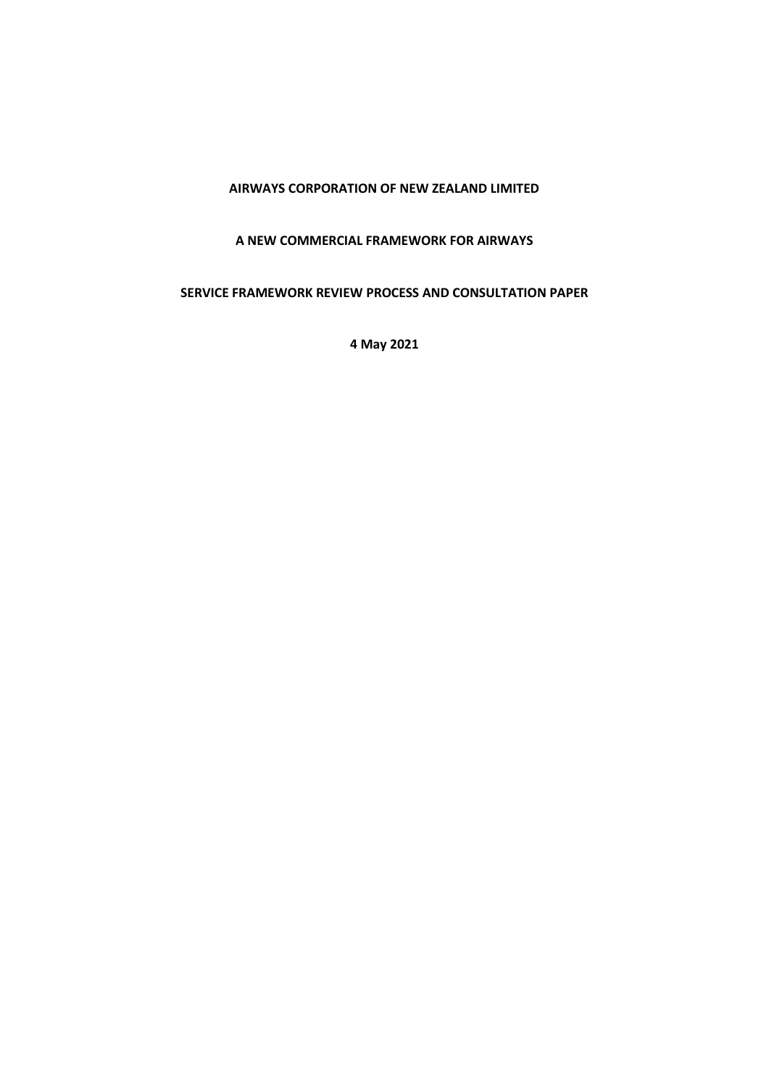### **AIRWAYS CORPORATION OF NEW ZEALAND LIMITED**

### **A NEW COMMERCIAL FRAMEWORK FOR AIRWAYS**

# **SERVICE FRAMEWORK REVIEW PROCESS AND CONSULTATION PAPER**

**4 May 2021**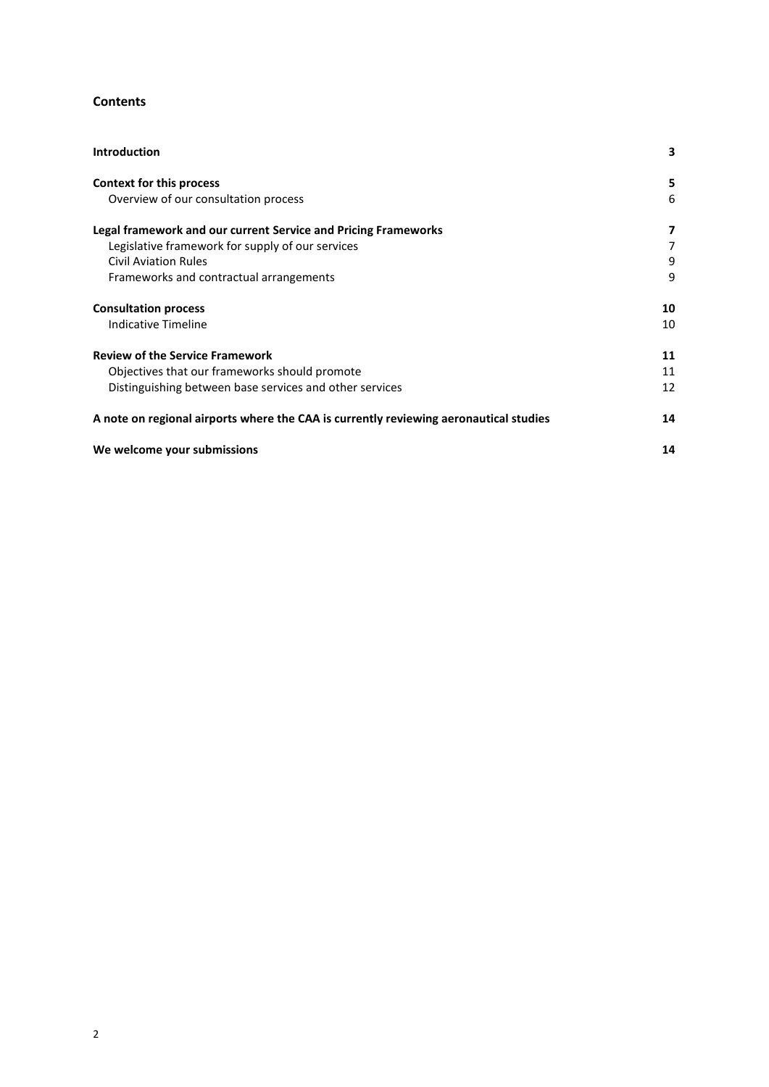### **Contents**

| <b>Introduction</b>                                                                   | 3  |
|---------------------------------------------------------------------------------------|----|
| Context for this process                                                              | 5  |
| Overview of our consultation process                                                  | 6  |
| Legal framework and our current Service and Pricing Frameworks                        | 7  |
| Legislative framework for supply of our services                                      | 7  |
| <b>Civil Aviation Rules</b>                                                           | 9  |
| Frameworks and contractual arrangements                                               | 9  |
| <b>Consultation process</b>                                                           | 10 |
| Indicative Timeline                                                                   | 10 |
| <b>Review of the Service Framework</b>                                                | 11 |
| Objectives that our frameworks should promote                                         | 11 |
| Distinguishing between base services and other services                               | 12 |
| A note on regional airports where the CAA is currently reviewing aeronautical studies | 14 |
| We welcome your submissions                                                           | 14 |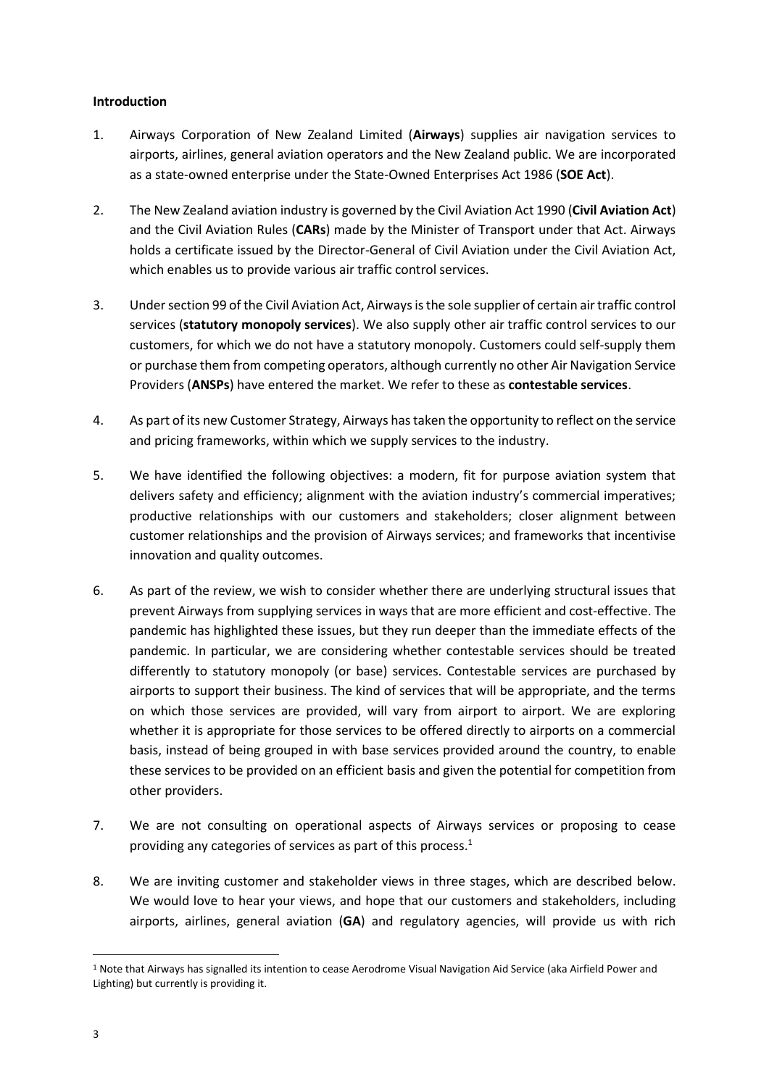### <span id="page-2-0"></span>**Introduction**

- 1. Airways Corporation of New Zealand Limited (**Airways**) supplies air navigation services to airports, airlines, general aviation operators and the New Zealand public. We are incorporated as a state-owned enterprise under the State-Owned Enterprises Act 1986 (**SOE Act**).
- 2. The New Zealand aviation industry is governed by the Civil Aviation Act 1990 (**Civil Aviation Act**) and the Civil Aviation Rules (**CARs**) made by the Minister of Transport under that Act. Airways holds a certificate issued by the Director-General of Civil Aviation under the Civil Aviation Act, which enables us to provide various air traffic control services.
- 3. Under section 99 of the Civil Aviation Act, Airways is the sole supplier of certain air traffic control services (**statutory monopoly services**). We also supply other air traffic control services to our customers, for which we do not have a statutory monopoly. Customers could self-supply them or purchase them from competing operators, although currently no other Air Navigation Service Providers (**ANSPs**) have entered the market. We refer to these as **contestable services**.
- 4. As part of its new Customer Strategy, Airways has taken the opportunity to reflect on the service and pricing frameworks, within which we supply services to the industry.
- 5. We have identified the following objectives: a modern, fit for purpose aviation system that delivers safety and efficiency; alignment with the aviation industry's commercial imperatives; productive relationships with our customers and stakeholders; closer alignment between customer relationships and the provision of Airways services; and frameworks that incentivise innovation and quality outcomes.
- 6. As part of the review, we wish to consider whether there are underlying structural issues that prevent Airways from supplying services in ways that are more efficient and cost-effective. The pandemic has highlighted these issues, but they run deeper than the immediate effects of the pandemic. In particular, we are considering whether contestable services should be treated differently to statutory monopoly (or base) services. Contestable services are purchased by airports to support their business. The kind of services that will be appropriate, and the terms on which those services are provided, will vary from airport to airport. We are exploring whether it is appropriate for those services to be offered directly to airports on a commercial basis, instead of being grouped in with base services provided around the country, to enable these services to be provided on an efficient basis and given the potential for competition from other providers.
- 7. We are not consulting on operational aspects of Airways services or proposing to cease providing any categories of services as part of this process.<sup>1</sup>
- 8. We are inviting customer and stakeholder views in three stages, which are described below. We would love to hear your views, and hope that our customers and stakeholders, including airports, airlines, general aviation (**GA**) and regulatory agencies, will provide us with rich

<sup>1</sup> Note that Airways has signalled its intention to cease Aerodrome Visual Navigation Aid Service (aka Airfield Power and Lighting) but currently is providing it.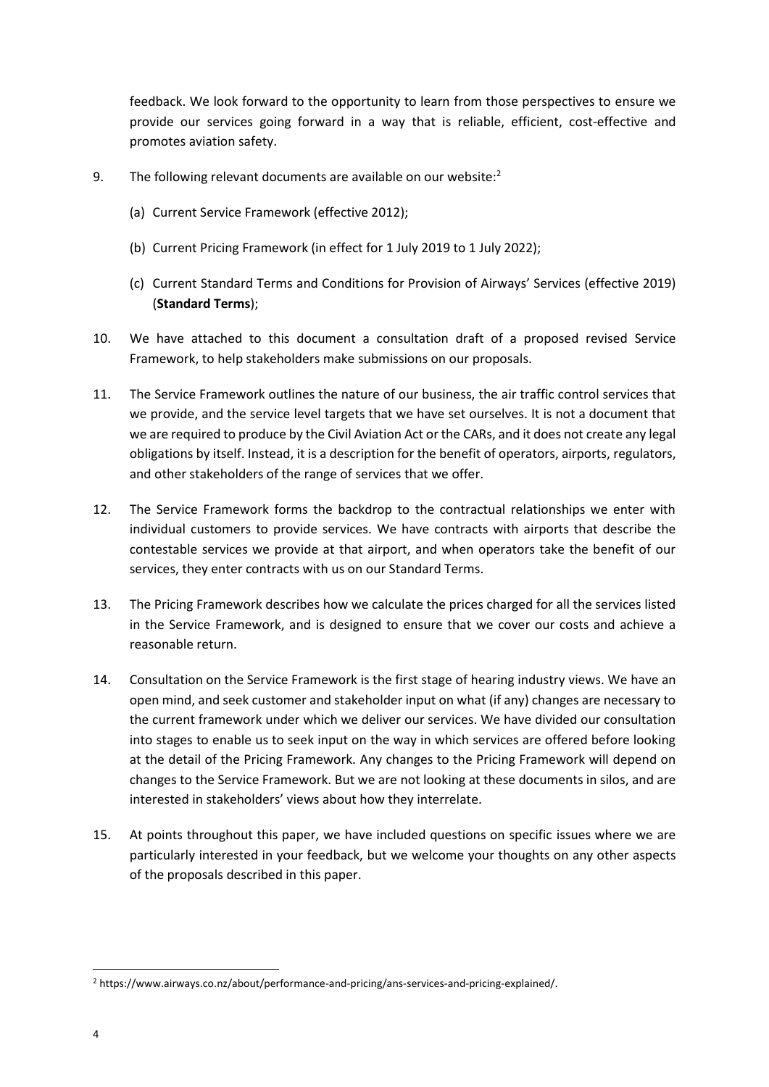feedback. We look forward to the opportunity to learn from those perspectives to ensure we provide our services going forward in a way that is reliable, efficient, cost-effective and promotes aviation safety.

- 9. The following relevant documents are available on our website: $2$ 
	- (a) Current Service Framework (effective 2012);
	- (b) Current Pricing Framework (in effect for 1 July 2019 to 1 July 2022);
	- (c) Current Standard Terms and Conditions for Provision of Airways' Services (effective 2019) (**Standard Terms**);
- 10. We have attached to this document a consultation draft of a proposed revised Service Framework, to help stakeholders make submissions on our proposals.
- 11. The Service Framework outlines the nature of our business, the air traffic control services that we provide, and the service level targets that we have set ourselves. It is not a document that we are required to produce by the Civil Aviation Act or the CARs, and it does not create any legal obligations by itself. Instead, it is a description for the benefit of operators, airports, regulators, and other stakeholders of the range of services that we offer.
- 12. The Service Framework forms the backdrop to the contractual relationships we enter with individual customers to provide services. We have contracts with airports that describe the contestable services we provide at that airport, and when operators take the benefit of our services, they enter contracts with us on our Standard Terms.
- 13. The Pricing Framework describes how we calculate the prices charged for all the services listed in the Service Framework, and is designed to ensure that we cover our costs and achieve a reasonable return.
- 14. Consultation on the Service Framework is the first stage of hearing industry views. We have an open mind, and seek customer and stakeholder input on what (if any) changes are necessary to the current framework under which we deliver our services. We have divided our consultation into stages to enable us to seek input on the way in which services are offered before looking at the detail of the Pricing Framework. Any changes to the Pricing Framework will depend on changes to the Service Framework. But we are not looking at these documents in silos, and are interested in stakeholders' views about how they interrelate.
- 15. At points throughout this paper, we have included questions on specific issues where we are particularly interested in your feedback, but we welcome your thoughts on any other aspects of the proposals described in this paper.

<sup>2</sup> https://www.airways.co.nz/about/performance-and-pricing/ans-services-and-pricing-explained/.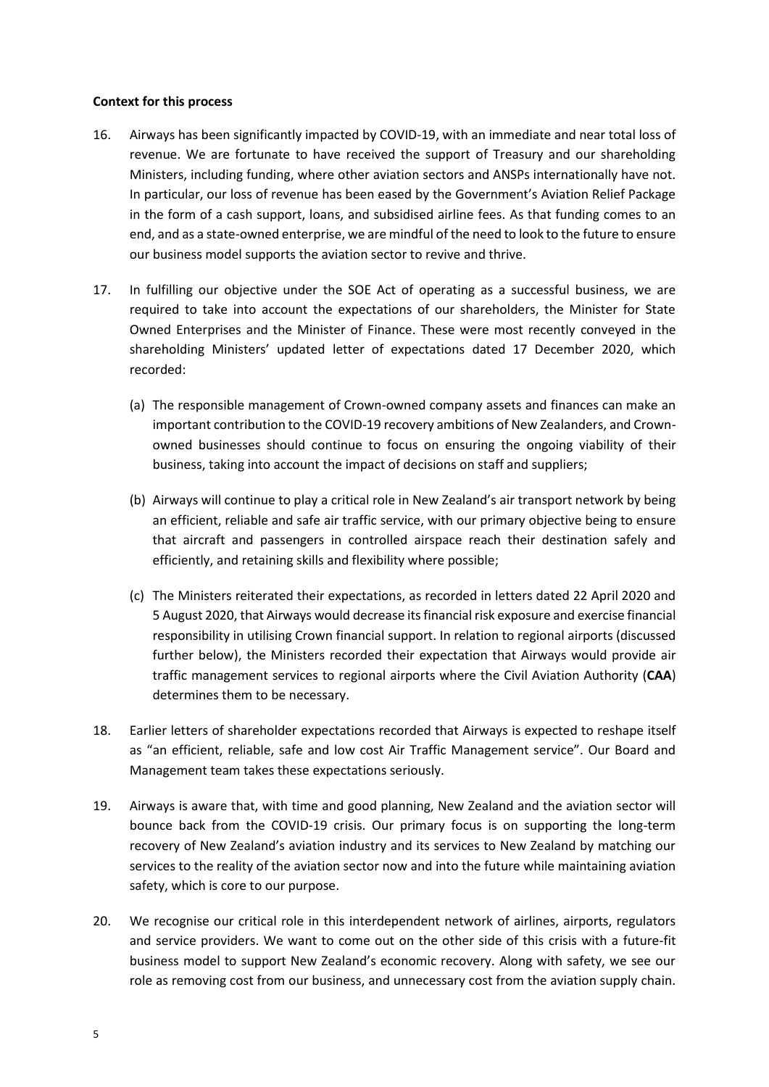### <span id="page-4-0"></span>**Context for this process**

- 16. Airways has been significantly impacted by COVID-19, with an immediate and near total loss of revenue. We are fortunate to have received the support of Treasury and our shareholding Ministers, including funding, where other aviation sectors and ANSPs internationally have not. In particular, our loss of revenue has been eased by the Government's Aviation Relief Package in the form of a cash support, loans, and subsidised airline fees. As that funding comes to an end, and as a state-owned enterprise, we are mindful of the need to look to the future to ensure our business model supports the aviation sector to revive and thrive.
- 17. In fulfilling our objective under the SOE Act of operating as a successful business, we are required to take into account the expectations of our shareholders, the Minister for State Owned Enterprises and the Minister of Finance. These were most recently conveyed in the shareholding Ministers' updated letter of expectations dated 17 December 2020, which recorded:
	- (a) The responsible management of Crown-owned company assets and finances can make an important contribution to the COVID-19 recovery ambitions of New Zealanders, and Crownowned businesses should continue to focus on ensuring the ongoing viability of their business, taking into account the impact of decisions on staff and suppliers;
	- (b) Airways will continue to play a critical role in New Zealand's air transport network by being an efficient, reliable and safe air traffic service, with our primary objective being to ensure that aircraft and passengers in controlled airspace reach their destination safely and efficiently, and retaining skills and flexibility where possible;
	- (c) The Ministers reiterated their expectations, as recorded in letters dated 22 April 2020 and 5 August 2020, that Airways would decrease its financial risk exposure and exercise financial responsibility in utilising Crown financial support. In relation to regional airports (discussed further below), the Ministers recorded their expectation that Airways would provide air traffic management services to regional airports where the Civil Aviation Authority (**CAA**) determines them to be necessary.
- 18. Earlier letters of shareholder expectations recorded that Airways is expected to reshape itself as "an efficient, reliable, safe and low cost Air Traffic Management service". Our Board and Management team takes these expectations seriously.
- 19. Airways is aware that, with time and good planning, New Zealand and the aviation sector will bounce back from the COVID-19 crisis. Our primary focus is on supporting the long-term recovery of New Zealand's aviation industry and its services to New Zealand by matching our services to the reality of the aviation sector now and into the future while maintaining aviation safety, which is core to our purpose.
- 20. We recognise our critical role in this interdependent network of airlines, airports, regulators and service providers. We want to come out on the other side of this crisis with a future-fit business model to support New Zealand's economic recovery. Along with safety, we see our role as removing cost from our business, and unnecessary cost from the aviation supply chain.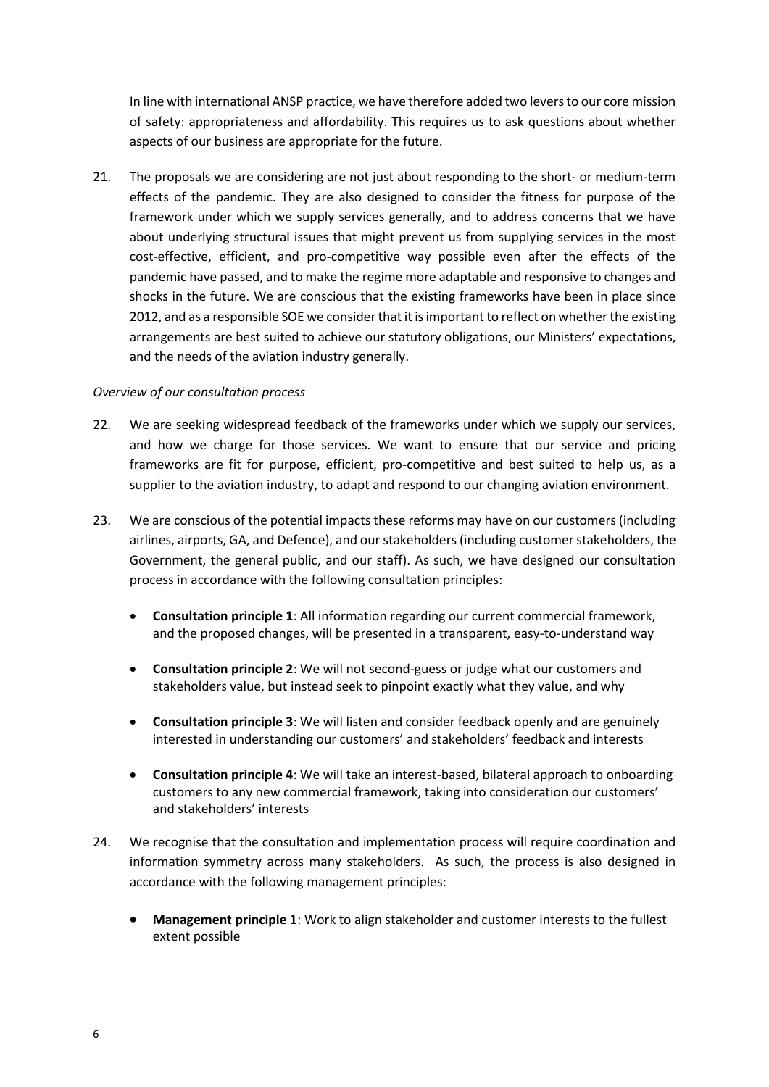In line with international ANSP practice, we have therefore added two levers to our core mission of safety: appropriateness and affordability. This requires us to ask questions about whether aspects of our business are appropriate for the future.

21. The proposals we are considering are not just about responding to the short- or medium-term effects of the pandemic. They are also designed to consider the fitness for purpose of the framework under which we supply services generally, and to address concerns that we have about underlying structural issues that might prevent us from supplying services in the most cost-effective, efficient, and pro-competitive way possible even after the effects of the pandemic have passed, and to make the regime more adaptable and responsive to changes and shocks in the future. We are conscious that the existing frameworks have been in place since 2012, and as a responsible SOE we consider that it is important to reflect on whether the existing arrangements are best suited to achieve our statutory obligations, our Ministers' expectations, and the needs of the aviation industry generally.

### <span id="page-5-0"></span>*Overview of our consultation process*

- 22. We are seeking widespread feedback of the frameworks under which we supply our services, and how we charge for those services. We want to ensure that our service and pricing frameworks are fit for purpose, efficient, pro-competitive and best suited to help us, as a supplier to the aviation industry, to adapt and respond to our changing aviation environment.
- 23. We are conscious of the potential impacts these reforms may have on our customers (including airlines, airports, GA, and Defence), and our stakeholders (including customer stakeholders, the Government, the general public, and our staff). As such, we have designed our consultation process in accordance with the following consultation principles:
	- **Consultation principle 1**: All information regarding our current commercial framework, and the proposed changes, will be presented in a transparent, easy-to-understand way
	- **Consultation principle 2**: We will not second-guess or judge what our customers and stakeholders value, but instead seek to pinpoint exactly what they value, and why
	- **Consultation principle 3**: We will listen and consider feedback openly and are genuinely interested in understanding our customers' and stakeholders' feedback and interests
	- **Consultation principle 4**: We will take an interest-based, bilateral approach to onboarding customers to any new commercial framework, taking into consideration our customers' and stakeholders' interests
- 24. We recognise that the consultation and implementation process will require coordination and information symmetry across many stakeholders. As such, the process is also designed in accordance with the following management principles:
	- **Management principle 1**: Work to align stakeholder and customer interests to the fullest extent possible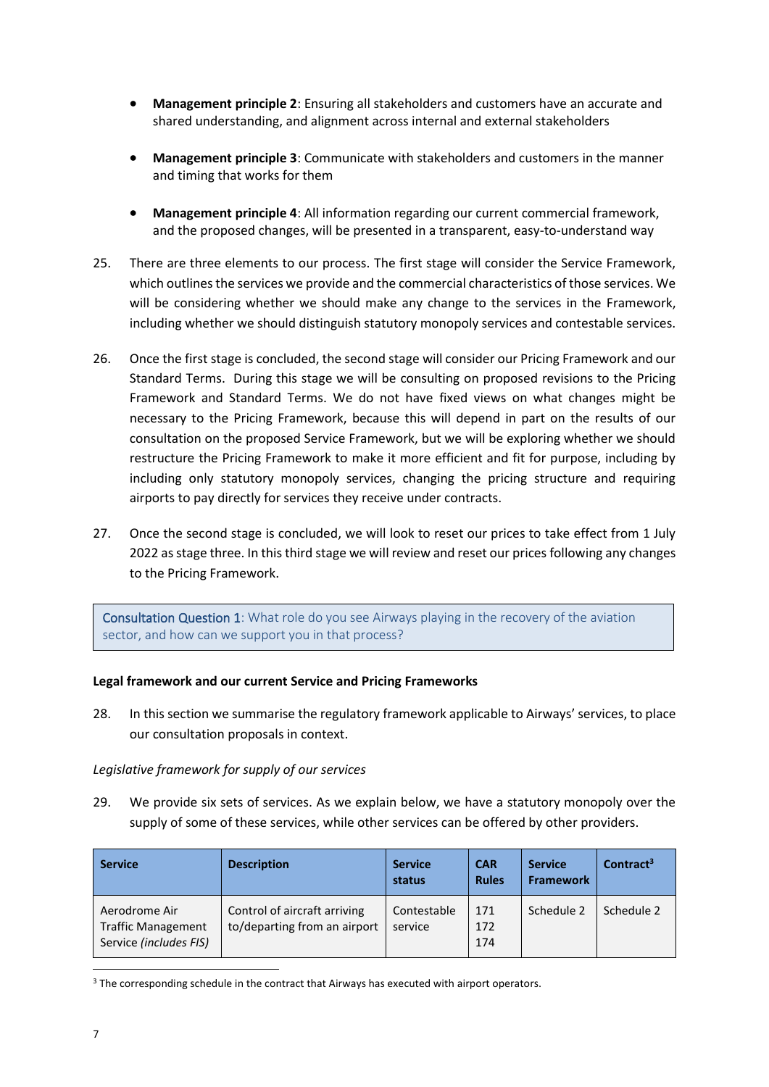- **Management principle 2**: Ensuring all stakeholders and customers have an accurate and shared understanding, and alignment across internal and external stakeholders
- **Management principle 3**: Communicate with stakeholders and customers in the manner and timing that works for them
- **Management principle 4**: All information regarding our current commercial framework, and the proposed changes, will be presented in a transparent, easy-to-understand way
- 25. There are three elements to our process. The first stage will consider the Service Framework, which outlines the services we provide and the commercial characteristics of those services. We will be considering whether we should make any change to the services in the Framework, including whether we should distinguish statutory monopoly services and contestable services.
- 26. Once the first stage is concluded, the second stage will consider our Pricing Framework and our Standard Terms. During this stage we will be consulting on proposed revisions to the Pricing Framework and Standard Terms. We do not have fixed views on what changes might be necessary to the Pricing Framework, because this will depend in part on the results of our consultation on the proposed Service Framework, but we will be exploring whether we should restructure the Pricing Framework to make it more efficient and fit for purpose, including by including only statutory monopoly services, changing the pricing structure and requiring airports to pay directly for services they receive under contracts.
- 27. Once the second stage is concluded, we will look to reset our prices to take effect from 1 July 2022 as stage three. In this third stage we will review and reset our prices following any changes to the Pricing Framework.

Consultation Question 1: What role do you see Airways playing in the recovery of the aviation sector, and how can we support you in that process?

# <span id="page-6-0"></span>**Legal framework and our current Service and Pricing Frameworks**

28. In this section we summarise the regulatory framework applicable to Airways' services, to place our consultation proposals in context.

### <span id="page-6-1"></span>*Legislative framework for supply of our services*

29. We provide six sets of services. As we explain below, we have a statutory monopoly over the supply of some of these services, while other services can be offered by other providers.

| <b>Service</b>                                                       | <b>Description</b>                                           | <b>Service</b><br>status | <b>CAR</b><br><b>Rules</b> | <b>Service</b><br><b>Framework</b> | Contract <sup>3</sup> |
|----------------------------------------------------------------------|--------------------------------------------------------------|--------------------------|----------------------------|------------------------------------|-----------------------|
| Aerodrome Air<br><b>Traffic Management</b><br>Service (includes FIS) | Control of aircraft arriving<br>to/departing from an airport | Contestable<br>service   | 171<br>172<br>174          | Schedule 2                         | Schedule 2            |

<sup>&</sup>lt;sup>3</sup> The corresponding schedule in the contract that Airways has executed with airport operators.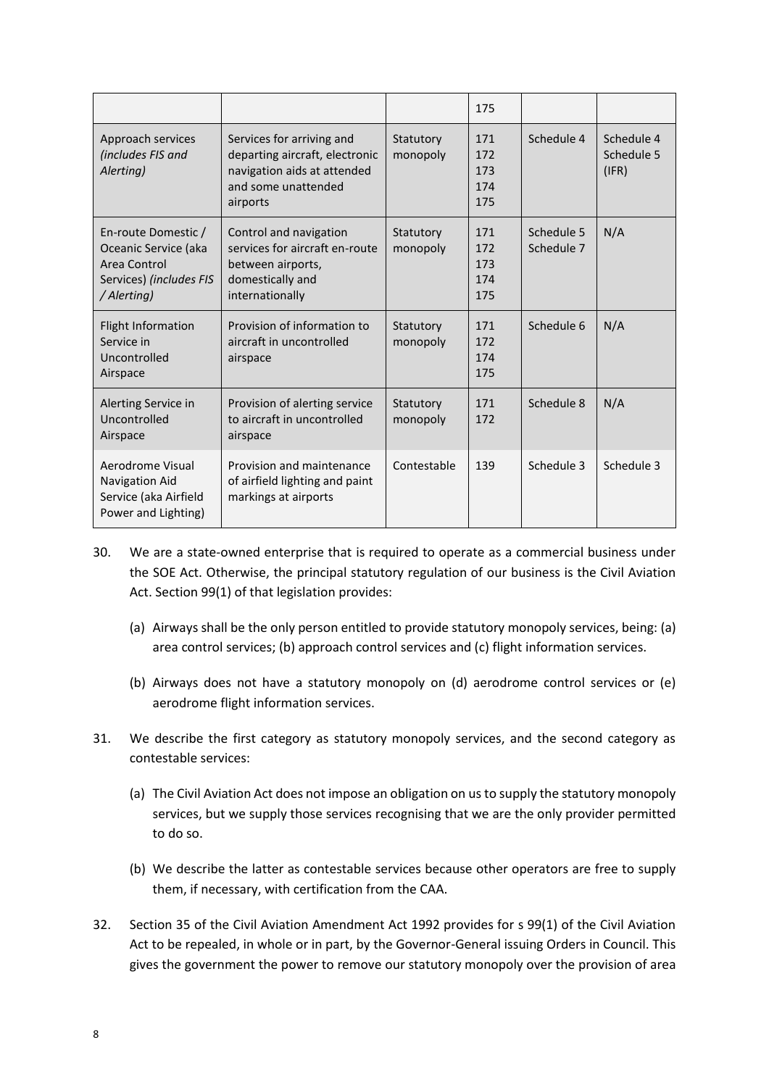|                                                                                                       |                                                                                                                               |                       | 175                             |                          |                                   |
|-------------------------------------------------------------------------------------------------------|-------------------------------------------------------------------------------------------------------------------------------|-----------------------|---------------------------------|--------------------------|-----------------------------------|
| Approach services<br>(includes FIS and<br>Alerting)                                                   | Services for arriving and<br>departing aircraft, electronic<br>navigation aids at attended<br>and some unattended<br>airports | Statutory<br>monopoly | 171<br>172<br>173<br>174<br>175 | Schedule 4               | Schedule 4<br>Schedule 5<br>(IFR) |
| En-route Domestic /<br>Oceanic Service (aka<br>Area Control<br>Services) (includes FIS<br>/ Alerting) | Control and navigation<br>services for aircraft en-route<br>between airports,<br>domestically and<br>internationally          | Statutory<br>monopoly | 171<br>172<br>173<br>174<br>175 | Schedule 5<br>Schedule 7 | N/A                               |
| <b>Flight Information</b><br>Service in<br>Uncontrolled<br>Airspace                                   | Provision of information to<br>aircraft in uncontrolled<br>airspace                                                           | Statutory<br>monopoly | 171<br>172<br>174<br>175        | Schedule 6               | N/A                               |
| Alerting Service in<br>Uncontrolled<br>Airspace                                                       | Provision of alerting service<br>to aircraft in uncontrolled<br>airspace                                                      | Statutory<br>monopoly | 171<br>172                      | Schedule 8               | N/A                               |
| Aerodrome Visual<br><b>Navigation Aid</b><br>Service (aka Airfield<br>Power and Lighting)             | Provision and maintenance<br>of airfield lighting and paint<br>markings at airports                                           | Contestable           | 139                             | Schedule 3               | Schedule 3                        |

- 30. We are a state-owned enterprise that is required to operate as a commercial business under the SOE Act. Otherwise, the principal statutory regulation of our business is the Civil Aviation Act. Section 99(1) of that legislation provides:
	- (a) Airways shall be the only person entitled to provide statutory monopoly services, being: (a) area control services; (b) approach control services and (c) flight information services.
	- (b) Airways does not have a statutory monopoly on (d) aerodrome control services or (e) aerodrome flight information services.
- 31. We describe the first category as statutory monopoly services, and the second category as contestable services:
	- (a) The Civil Aviation Act does not impose an obligation on us to supply the statutory monopoly services, but we supply those services recognising that we are the only provider permitted to do so.
	- (b) We describe the latter as contestable services because other operators are free to supply them, if necessary, with certification from the CAA.
- 32. Section 35 of the Civil Aviation Amendment Act 1992 provides for s 99(1) of the Civil Aviation Act to be repealed, in whole or in part, by the Governor-General issuing Orders in Council. This gives the government the power to remove our statutory monopoly over the provision of area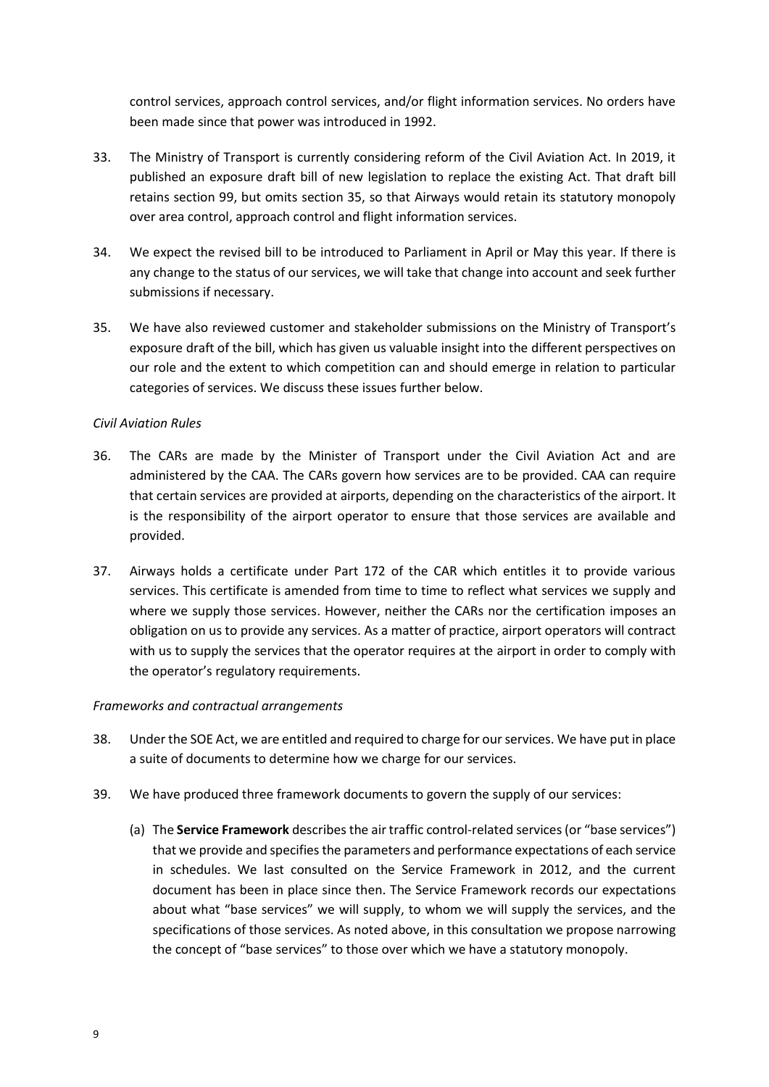control services, approach control services, and/or flight information services. No orders have been made since that power was introduced in 1992.

- 33. The Ministry of Transport is currently considering reform of the Civil Aviation Act. In 2019, it published an exposure draft bill of new legislation to replace the existing Act. That draft bill retains section 99, but omits section 35, so that Airways would retain its statutory monopoly over area control, approach control and flight information services.
- 34. We expect the revised bill to be introduced to Parliament in April or May this year. If there is any change to the status of our services, we will take that change into account and seek further submissions if necessary.
- 35. We have also reviewed customer and stakeholder submissions on the Ministry of Transport's exposure draft of the bill, which has given us valuable insight into the different perspectives on our role and the extent to which competition can and should emerge in relation to particular categories of services. We discuss these issues further below.

### <span id="page-8-0"></span>*Civil Aviation Rules*

- 36. The CARs are made by the Minister of Transport under the Civil Aviation Act and are administered by the CAA. The CARs govern how services are to be provided. CAA can require that certain services are provided at airports, depending on the characteristics of the airport. It is the responsibility of the airport operator to ensure that those services are available and provided.
- 37. Airways holds a certificate under Part 172 of the CAR which entitles it to provide various services. This certificate is amended from time to time to reflect what services we supply and where we supply those services. However, neither the CARs nor the certification imposes an obligation on us to provide any services. As a matter of practice, airport operators will contract with us to supply the services that the operator requires at the airport in order to comply with the operator's regulatory requirements.

# <span id="page-8-1"></span>*Frameworks and contractual arrangements*

- 38. Under the SOE Act, we are entitled and required to charge for our services. We have put in place a suite of documents to determine how we charge for our services.
- 39. We have produced three framework documents to govern the supply of our services:
	- (a) The **Service Framework** describes the air traffic control-related services (or "base services") that we provide and specifies the parameters and performance expectations of each service in schedules. We last consulted on the Service Framework in 2012, and the current document has been in place since then. The Service Framework records our expectations about what "base services" we will supply, to whom we will supply the services, and the specifications of those services. As noted above, in this consultation we propose narrowing the concept of "base services" to those over which we have a statutory monopoly.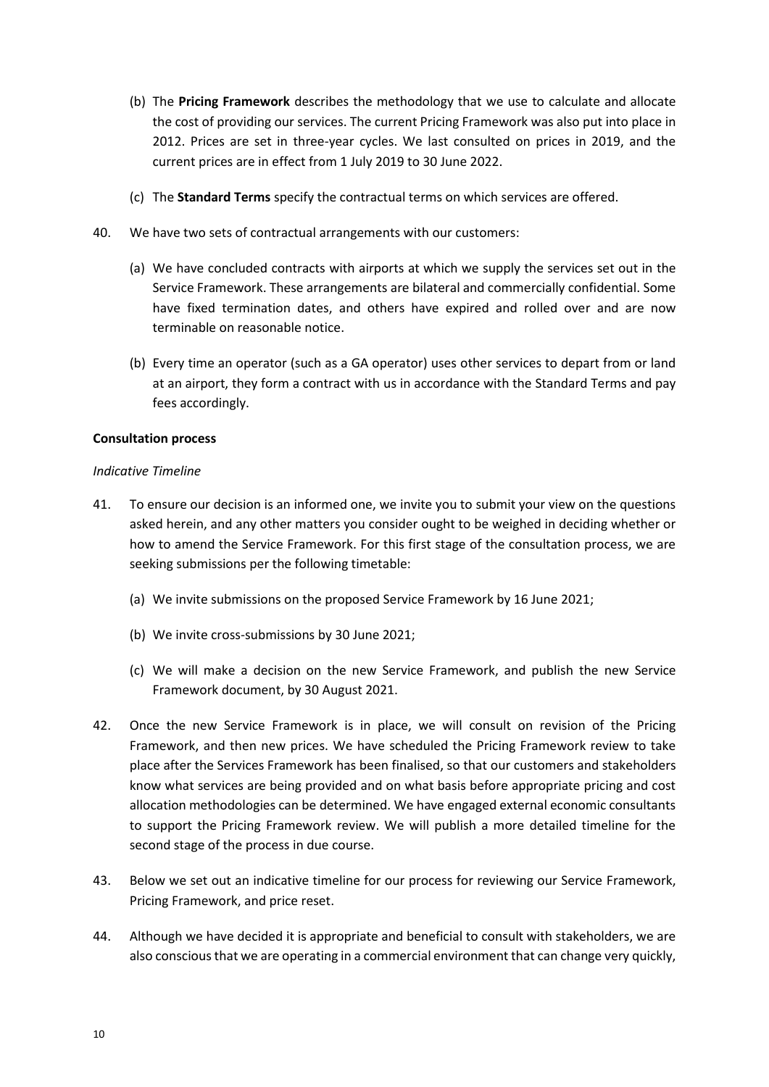- (b) The **Pricing Framework** describes the methodology that we use to calculate and allocate the cost of providing our services. The current Pricing Framework was also put into place in 2012. Prices are set in three-year cycles. We last consulted on prices in 2019, and the current prices are in effect from 1 July 2019 to 30 June 2022.
- (c) The **Standard Terms** specify the contractual terms on which services are offered.
- 40. We have two sets of contractual arrangements with our customers:
	- (a) We have concluded contracts with airports at which we supply the services set out in the Service Framework. These arrangements are bilateral and commercially confidential. Some have fixed termination dates, and others have expired and rolled over and are now terminable on reasonable notice.
	- (b) Every time an operator (such as a GA operator) uses other services to depart from or land at an airport, they form a contract with us in accordance with the Standard Terms and pay fees accordingly.

### <span id="page-9-1"></span><span id="page-9-0"></span>**Consultation process**

### *Indicative Timeline*

- 41. To ensure our decision is an informed one, we invite you to submit your view on the questions asked herein, and any other matters you consider ought to be weighed in deciding whether or how to amend the Service Framework. For this first stage of the consultation process, we are seeking submissions per the following timetable:
	- (a) We invite submissions on the proposed Service Framework by 16 June 2021;
	- (b) We invite cross-submissions by 30 June 2021;
	- (c) We will make a decision on the new Service Framework, and publish the new Service Framework document, by 30 August 2021.
- 42. Once the new Service Framework is in place, we will consult on revision of the Pricing Framework, and then new prices. We have scheduled the Pricing Framework review to take place after the Services Framework has been finalised, so that our customers and stakeholders know what services are being provided and on what basis before appropriate pricing and cost allocation methodologies can be determined. We have engaged external economic consultants to support the Pricing Framework review. We will publish a more detailed timeline for the second stage of the process in due course.
- 43. Below we set out an indicative timeline for our process for reviewing our Service Framework, Pricing Framework, and price reset.
- 44. Although we have decided it is appropriate and beneficial to consult with stakeholders, we are also conscious that we are operating in a commercial environment that can change very quickly,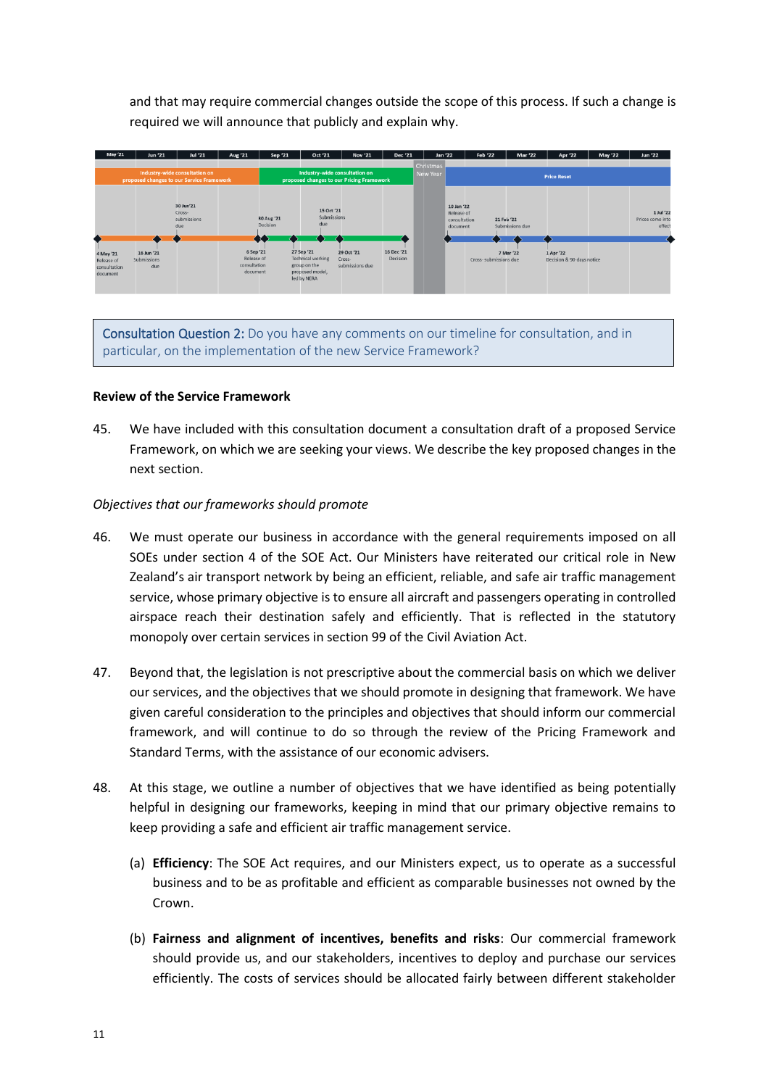and that may require commercial changes outside the scope of this process. If such a change is required we will announce that publicly and explain why.



Consultation Question 2: Do you have any comments on our timeline for consultation, and in particular, on the implementation of the new Service Framework?

### <span id="page-10-0"></span>**Review of the Service Framework**

45. We have included with this consultation document a consultation draft of a proposed Service Framework, on which we are seeking your views. We describe the key proposed changes in the next section.

### <span id="page-10-1"></span>*Objectives that our frameworks should promote*

- 46. We must operate our business in accordance with the general requirements imposed on all SOEs under section 4 of the SOE Act. Our Ministers have reiterated our critical role in New Zealand's air transport network by being an efficient, reliable, and safe air traffic management service, whose primary objective is to ensure all aircraft and passengers operating in controlled airspace reach their destination safely and efficiently. That is reflected in the statutory monopoly over certain services in section 99 of the Civil Aviation Act.
- 47. Beyond that, the legislation is not prescriptive about the commercial basis on which we deliver our services, and the objectives that we should promote in designing that framework. We have given careful consideration to the principles and objectives that should inform our commercial framework, and will continue to do so through the review of the Pricing Framework and Standard Terms, with the assistance of our economic advisers.
- 48. At this stage, we outline a number of objectives that we have identified as being potentially helpful in designing our frameworks, keeping in mind that our primary objective remains to keep providing a safe and efficient air traffic management service.
	- (a) **Efficiency**: The SOE Act requires, and our Ministers expect, us to operate as a successful business and to be as profitable and efficient as comparable businesses not owned by the Crown.
	- (b) **Fairness and alignment of incentives, benefits and risks**: Our commercial framework should provide us, and our stakeholders, incentives to deploy and purchase our services efficiently. The costs of services should be allocated fairly between different stakeholder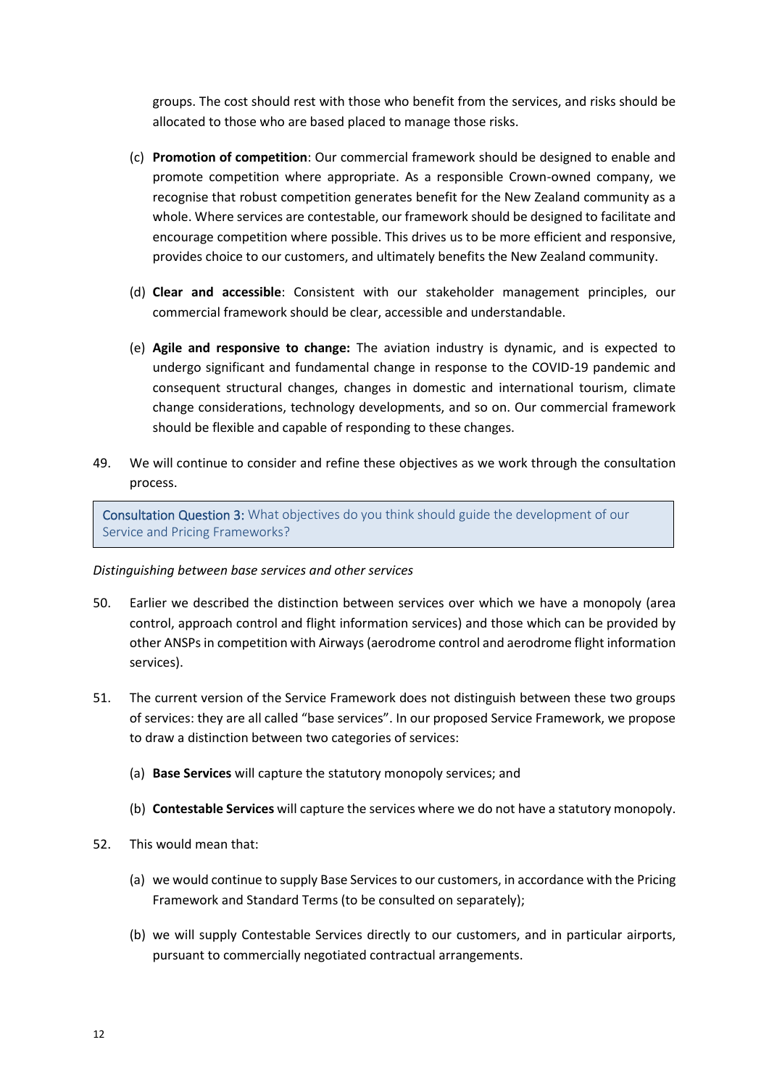groups. The cost should rest with those who benefit from the services, and risks should be allocated to those who are based placed to manage those risks.

- (c) **Promotion of competition**: Our commercial framework should be designed to enable and promote competition where appropriate. As a responsible Crown-owned company, we recognise that robust competition generates benefit for the New Zealand community as a whole. Where services are contestable, our framework should be designed to facilitate and encourage competition where possible. This drives us to be more efficient and responsive, provides choice to our customers, and ultimately benefits the New Zealand community.
- (d) **Clear and accessible**: Consistent with our stakeholder management principles, our commercial framework should be clear, accessible and understandable.
- (e) **Agile and responsive to change:** The aviation industry is dynamic, and is expected to undergo significant and fundamental change in response to the COVID-19 pandemic and consequent structural changes, changes in domestic and international tourism, climate change considerations, technology developments, and so on. Our commercial framework should be flexible and capable of responding to these changes.
- 49. We will continue to consider and refine these objectives as we work through the consultation process.

Consultation Question 3: What objectives do you think should guide the development of our Service and Pricing Frameworks?

### <span id="page-11-0"></span>*Distinguishing between base services and other services*

- 50. Earlier we described the distinction between services over which we have a monopoly (area control, approach control and flight information services) and those which can be provided by other ANSPs in competition with Airways (aerodrome control and aerodrome flight information services).
- 51. The current version of the Service Framework does not distinguish between these two groups of services: they are all called "base services". In our proposed Service Framework, we propose to draw a distinction between two categories of services:
	- (a) **Base Services** will capture the statutory monopoly services; and
	- (b) **Contestable Services** will capture the services where we do not have a statutory monopoly.
- 52. This would mean that:
	- (a) we would continue to supply Base Services to our customers, in accordance with the Pricing Framework and Standard Terms (to be consulted on separately);
	- (b) we will supply Contestable Services directly to our customers, and in particular airports, pursuant to commercially negotiated contractual arrangements.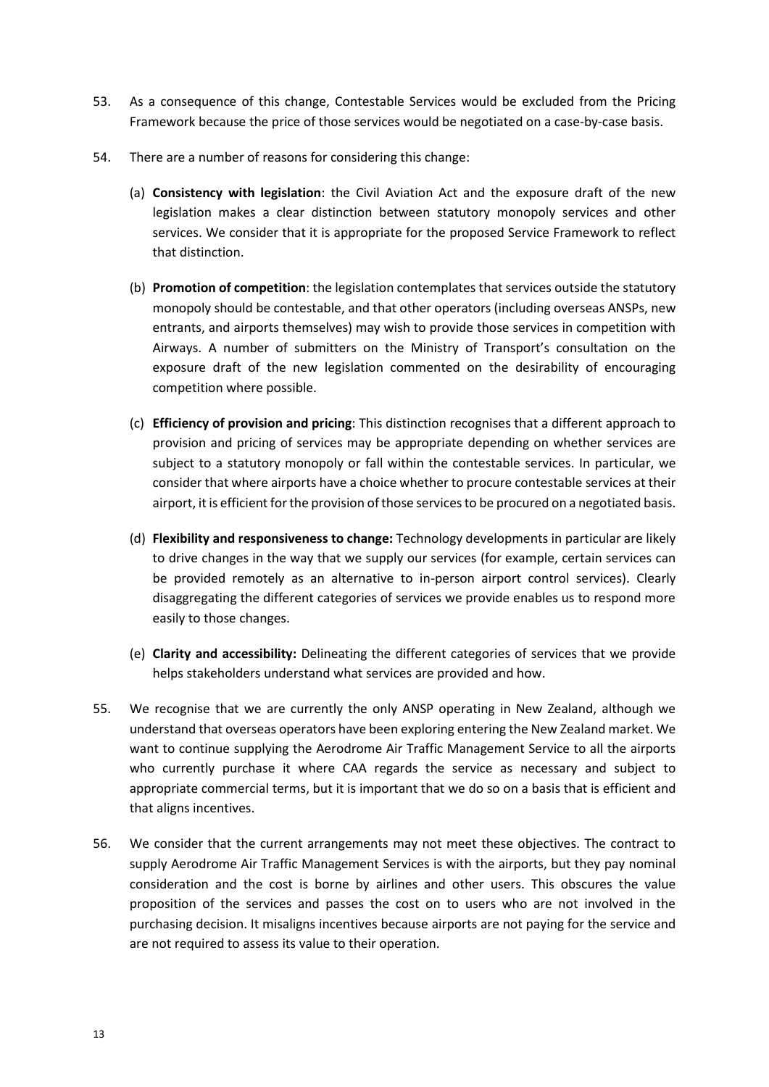- 53. As a consequence of this change, Contestable Services would be excluded from the Pricing Framework because the price of those services would be negotiated on a case-by-case basis.
- 54. There are a number of reasons for considering this change:
	- (a) **Consistency with legislation**: the Civil Aviation Act and the exposure draft of the new legislation makes a clear distinction between statutory monopoly services and other services. We consider that it is appropriate for the proposed Service Framework to reflect that distinction.
	- (b) **Promotion of competition**: the legislation contemplates that services outside the statutory monopoly should be contestable, and that other operators (including overseas ANSPs, new entrants, and airports themselves) may wish to provide those services in competition with Airways. A number of submitters on the Ministry of Transport's consultation on the exposure draft of the new legislation commented on the desirability of encouraging competition where possible.
	- (c) **Efficiency of provision and pricing**: This distinction recognises that a different approach to provision and pricing of services may be appropriate depending on whether services are subject to a statutory monopoly or fall within the contestable services. In particular, we consider that where airports have a choice whether to procure contestable services at their airport, it is efficient for the provision of those services to be procured on a negotiated basis.
	- (d) **Flexibility and responsiveness to change:** Technology developments in particular are likely to drive changes in the way that we supply our services (for example, certain services can be provided remotely as an alternative to in-person airport control services). Clearly disaggregating the different categories of services we provide enables us to respond more easily to those changes.
	- (e) **Clarity and accessibility:** Delineating the different categories of services that we provide helps stakeholders understand what services are provided and how.
- 55. We recognise that we are currently the only ANSP operating in New Zealand, although we understand that overseas operators have been exploring entering the New Zealand market. We want to continue supplying the Aerodrome Air Traffic Management Service to all the airports who currently purchase it where CAA regards the service as necessary and subject to appropriate commercial terms, but it is important that we do so on a basis that is efficient and that aligns incentives.
- 56. We consider that the current arrangements may not meet these objectives. The contract to supply Aerodrome Air Traffic Management Services is with the airports, but they pay nominal consideration and the cost is borne by airlines and other users. This obscures the value proposition of the services and passes the cost on to users who are not involved in the purchasing decision. It misaligns incentives because airports are not paying for the service and are not required to assess its value to their operation.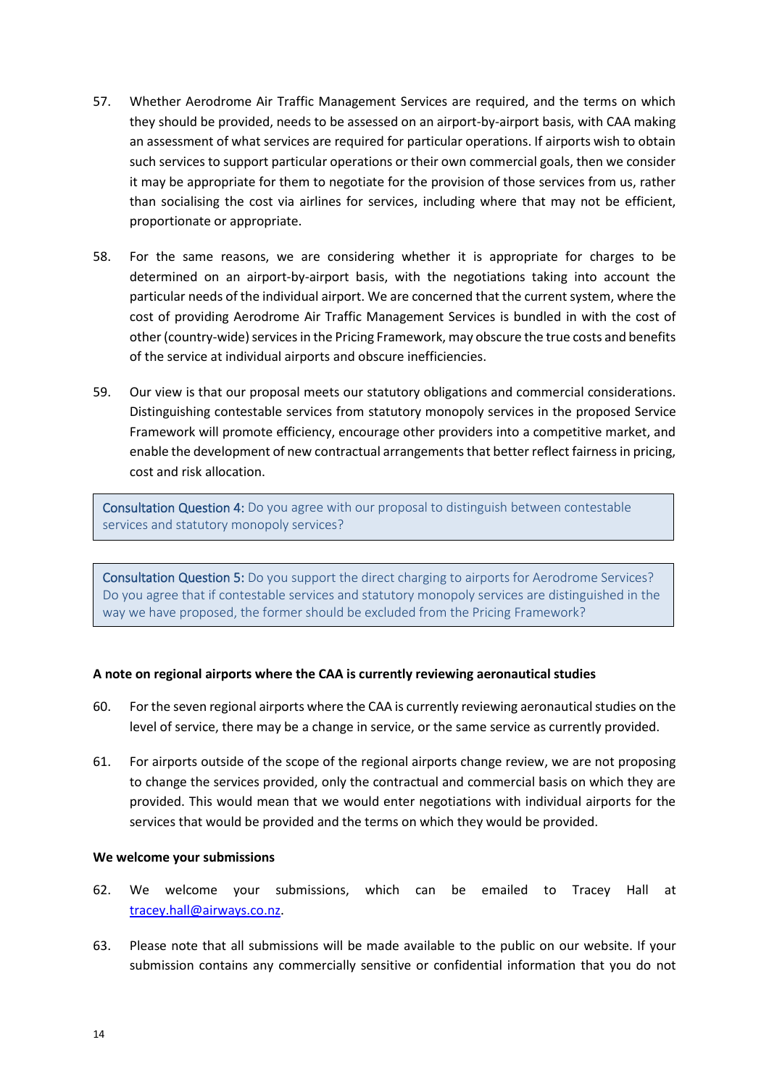- 57. Whether Aerodrome Air Traffic Management Services are required, and the terms on which they should be provided, needs to be assessed on an airport-by-airport basis, with CAA making an assessment of what services are required for particular operations. If airports wish to obtain such services to support particular operations or their own commercial goals, then we consider it may be appropriate for them to negotiate for the provision of those services from us, rather than socialising the cost via airlines for services, including where that may not be efficient, proportionate or appropriate.
- 58. For the same reasons, we are considering whether it is appropriate for charges to be determined on an airport-by-airport basis, with the negotiations taking into account the particular needs of the individual airport. We are concerned that the current system, where the cost of providing Aerodrome Air Traffic Management Services is bundled in with the cost of other (country-wide) services in the Pricing Framework, may obscure the true costs and benefits of the service at individual airports and obscure inefficiencies.
- 59. Our view is that our proposal meets our statutory obligations and commercial considerations. Distinguishing contestable services from statutory monopoly services in the proposed Service Framework will promote efficiency, encourage other providers into a competitive market, and enable the development of new contractual arrangements that better reflect fairness in pricing, cost and risk allocation.

Consultation Question 4: Do you agree with our proposal to distinguish between contestable services and statutory monopoly services?

Consultation Question 5: Do you support the direct charging to airports for Aerodrome Services? Do you agree that if contestable services and statutory monopoly services are distinguished in the way we have proposed, the former should be excluded from the Pricing Framework?

### <span id="page-13-0"></span>**A note on regional airports where the CAA is currently reviewing aeronautical studies**

- 60. For the seven regional airports where the CAA is currently reviewing aeronautical studies on the level of service, there may be a change in service, or the same service as currently provided.
- 61. For airports outside of the scope of the regional airports change review, we are not proposing to change the services provided, only the contractual and commercial basis on which they are provided. This would mean that we would enter negotiations with individual airports for the services that would be provided and the terms on which they would be provided.

### <span id="page-13-1"></span>**We welcome your submissions**

- 62. We welcome your submissions, which can be emailed to Tracey Hall at [tracey.hall@airways.co.nz.](mailto:tracey.hall@airways.co.nz)
- 63. Please note that all submissions will be made available to the public on our website. If your submission contains any commercially sensitive or confidential information that you do not